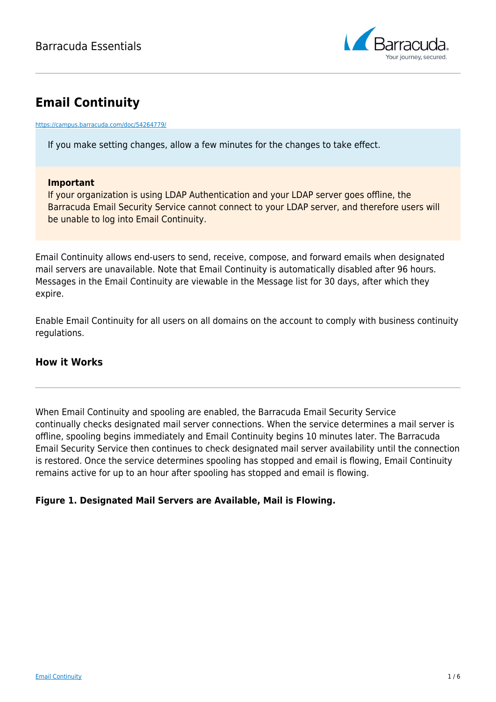

# **Email Continuity**

#### <https://campus.barracuda.com/doc/54264779/>

If you make setting changes, allow a few minutes for the changes to take effect.

### **Important**

If your organization is using LDAP Authentication and your LDAP server goes offline, the Barracuda Email Security Service cannot connect to your LDAP server, and therefore users will be unable to log into Email Continuity.

Email Continuity allows end-users to send, receive, compose, and forward emails when designated mail servers are unavailable. Note that Email Continuity is automatically disabled after 96 hours. Messages in the Email Continuity are viewable in the Message list for 30 days, after which they expire.

Enable Email Continuity for all users on all domains on the account to comply with business continuity regulations.

### **How it Works**

When Email Continuity and spooling are enabled, the Barracuda Email Security Service continually checks designated mail server connections. When the service determines a mail server is offline, spooling begins immediately and Email Continuity begins 10 minutes later. The Barracuda Email Security Service then continues to check designated mail server availability until the connection is restored. Once the service determines spooling has stopped and email is flowing, Email Continuity remains active for up to an hour after spooling has stopped and email is flowing.

### **Figure 1. Designated Mail Servers are Available, Mail is Flowing.**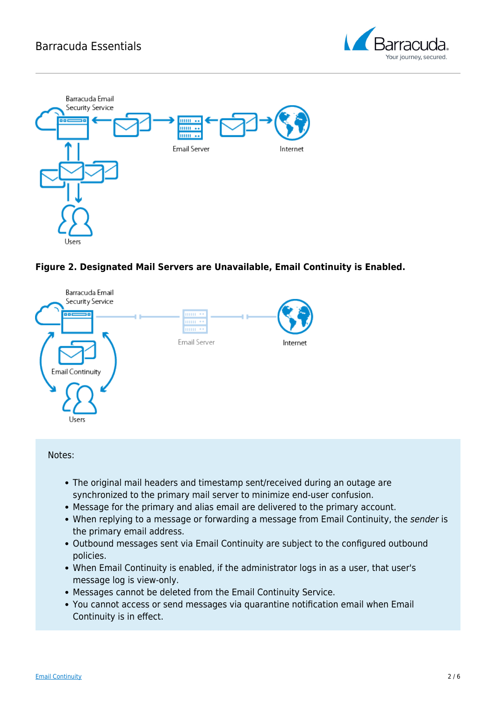







Notes:

- The original mail headers and timestamp sent/received during an outage are synchronized to the primary mail server to minimize end-user confusion.
- Message for the primary and alias email are delivered to the primary account.
- When replying to a message or forwarding a message from Email Continuity, the sender is the primary email address.
- Outbound messages sent via Email Continuity are subject to the configured outbound policies.
- When Email Continuity is enabled, if the administrator logs in as a user, that user's message log is view-only.
- Messages cannot be deleted from the Email Continuity Service.
- You cannot access or send messages via quarantine notification email when Email Continuity is in effect.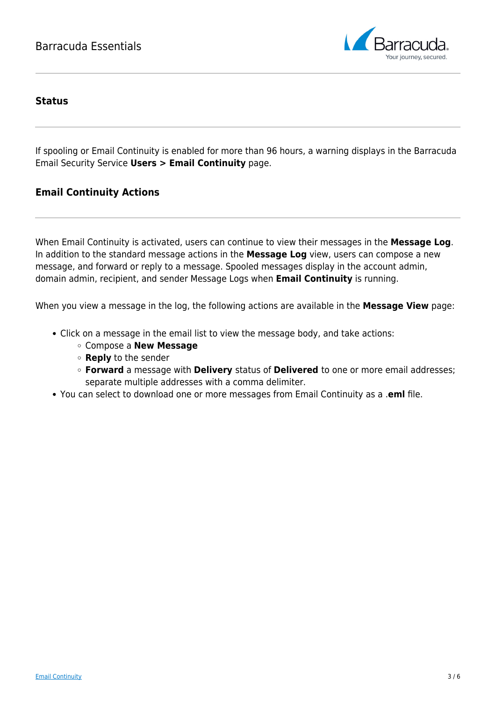

### **Status**

If spooling or Email Continuity is enabled for more than 96 hours, a warning displays in the Barracuda Email Security Service **Users > Email Continuity** page.

### **Email Continuity Actions**

When Email Continuity is activated, users can continue to view their messages in the **Message Log**. In addition to the standard message actions in the **Message Log** view, users can compose a new message, and forward or reply to a message. Spooled messages display in the account admin, domain admin, recipient, and sender Message Logs when **Email Continuity** is running.

When you view a message in the log, the following actions are available in the **Message View** page:

- Click on a message in the email list to view the message body, and take actions:
	- Compose a **New Message**
	- **Reply** to the sender
	- **Forward** a message with **Delivery** status of **Delivered** to one or more email addresses; separate multiple addresses with a comma delimiter.
- You can select to download one or more messages from Email Continuity as a .**eml** file.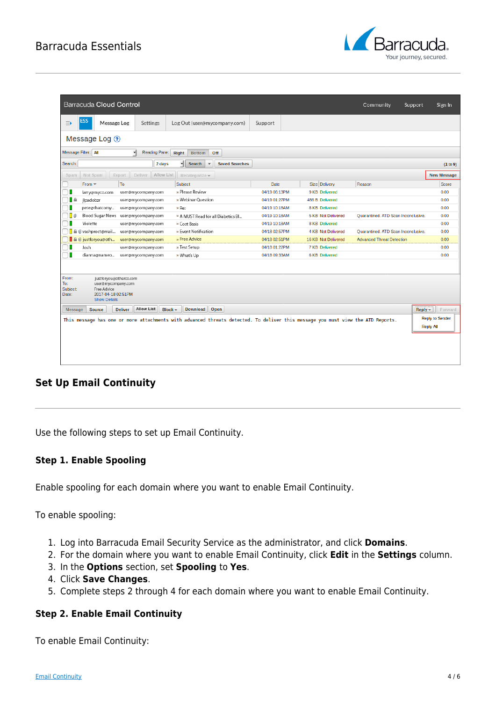## Barracuda Essentials



|                                                                                                                                 | Barracuda Cloud Control                                                 |        |                       |                                              |                       |               |  |                       | Community                           | Support                | Sign In            |
|---------------------------------------------------------------------------------------------------------------------------------|-------------------------------------------------------------------------|--------|-----------------------|----------------------------------------------|-----------------------|---------------|--|-----------------------|-------------------------------------|------------------------|--------------------|
| $\Rightarrow$                                                                                                                   | <b>ESS</b><br>Message Log                                               |        | Settings              | Log Out (user@mycompany.com)                 |                       | Support       |  |                       |                                     |                        |                    |
|                                                                                                                                 | Message Log ?                                                           |        |                       |                                              |                       |               |  |                       |                                     |                        |                    |
|                                                                                                                                 | Message Filter: All<br>ᆌ<br>Reading Pane: Right<br><b>Bottom</b><br>Off |        |                       |                                              |                       |               |  |                       |                                     |                        |                    |
| Search:                                                                                                                         |                                                                         |        | 2 days                | ᆌ<br><b>Search</b><br>$\overline{\mathbf v}$ | <b>Saved Searches</b> |               |  |                       |                                     |                        | (1 to 9)           |
| Spam                                                                                                                            | Not Spam                                                                | Export | Allow List<br>Deliver | Recategorize v                               |                       |               |  |                       |                                     |                        | <b>New Message</b> |
|                                                                                                                                 | From <b>~</b>                                                           | To     |                       | Subject                                      |                       | Date          |  | Size Delivery         | Reason                              |                        | Score              |
|                                                                                                                                 | larry@myco.com                                                          |        | user@mycompany.com    | » Please Review                              |                       | 04/19 06:13PM |  | 9 KB Delivered        |                                     |                        | 0.00               |
| <b>A</b>                                                                                                                        | jlpadobzr                                                               |        | user@mycompany.com    | » Webinar Question                           |                       | 04/19 01:27PM |  | 486 B Delivered       |                                     |                        | 0.00               |
|                                                                                                                                 | pete@thatcomy                                                           |        | user@mycompany.com    | » Re:                                        |                       | 04/19 10:18AM |  | 8 KB Delivered        |                                     |                        | 0.00               |
| I O                                                                                                                             | Blood Sugar News user@mycompany.com                                     |        |                       | » A MUST Read for all Diabetics Bl           |                       | 04/19 10:18AM |  | 5 KB Not Delivered    | Quarantined. ATD Scan Inconclusive. |                        | 0.00               |
|                                                                                                                                 | Violette                                                                |        | user@mycompany.com    | » Cost Basis                                 |                       | 04/19 10:18AM |  | <b>8 KB Delivered</b> |                                     |                        | 0.00               |
|                                                                                                                                 | <b>B</b> @ vashproct@mail                                               |        | user@mycompany.com    | » Event Notification                         |                       | 04/18 02:57PM |  | 4 KB Not Delivered    | Quarantined. ATD Scan Inconclusive. |                        | 0.00               |
|                                                                                                                                 | a @ justforyou@oth                                                      |        | user@mycompany.com    | » Free Advice                                |                       | 04/18 02:51PM |  | 16 KB Not Delivered   | <b>Advanced Threat Detection</b>    |                        | 0.00               |
|                                                                                                                                 | Josh                                                                    |        | user@mycompany.com    | » Test Setup                                 |                       | 04/18 01:22PM |  | <b>7 KB</b> Delivered |                                     |                        | 0.00               |
|                                                                                                                                 | dianna@nameo                                                            |        | user@mycompany.com    | » What's Up                                  |                       | 04/18 09:33AM |  | <b>6 KB Delivered</b> |                                     |                        | 0.00               |
|                                                                                                                                 |                                                                         |        |                       |                                              |                       |               |  |                       |                                     |                        |                    |
| From:<br>To:                                                                                                                    | justforyou@otherco.com<br>user@mycompany.com                            |        |                       |                                              |                       |               |  |                       |                                     |                        |                    |
| Subject:                                                                                                                        | Free Advice                                                             |        |                       |                                              |                       |               |  |                       |                                     |                        |                    |
| Date:                                                                                                                           | 2017-04-18 02:51PM<br><b>Show Details</b>                               |        |                       |                                              |                       |               |  |                       |                                     |                        |                    |
|                                                                                                                                 |                                                                         |        |                       |                                              |                       |               |  |                       |                                     |                        |                    |
| <b>Allow List</b><br><b>Download</b><br>Open<br><b>Source</b><br><b>Deliver</b><br>$Block -$<br>$Reply -$<br><b>Message</b>     |                                                                         |        |                       |                                              |                       |               |  | Forward               |                                     |                        |                    |
| This message has one or more attachments with advanced threats detected. To deliver this message you must view the ATD Reports. |                                                                         |        |                       |                                              |                       |               |  |                       |                                     | <b>Reply to Sender</b> |                    |
|                                                                                                                                 |                                                                         |        |                       |                                              |                       |               |  |                       |                                     | <b>Reply All</b>       |                    |
|                                                                                                                                 |                                                                         |        |                       |                                              |                       |               |  |                       |                                     |                        |                    |
|                                                                                                                                 |                                                                         |        |                       |                                              |                       |               |  |                       |                                     |                        |                    |
|                                                                                                                                 |                                                                         |        |                       |                                              |                       |               |  |                       |                                     |                        |                    |
|                                                                                                                                 |                                                                         |        |                       |                                              |                       |               |  |                       |                                     |                        |                    |

### **Set Up Email Continuity**

Use the following steps to set up Email Continuity.

### **Step 1. Enable Spooling**

Enable spooling for each domain where you want to enable Email Continuity.

To enable spooling:

- 1. Log into Barracuda Email Security Service as the administrator, and click **Domains**.
- 2. For the domain where you want to enable Email Continuity, click **Edit** in the **Settings** column.
- 3. In the **Options** section, set **Spooling** to **Yes**.
- 4. Click **Save Changes**.
- 5. Complete steps 2 through 4 for each domain where you want to enable Email Continuity.

### **Step 2. Enable Email Continuity**

To enable Email Continuity: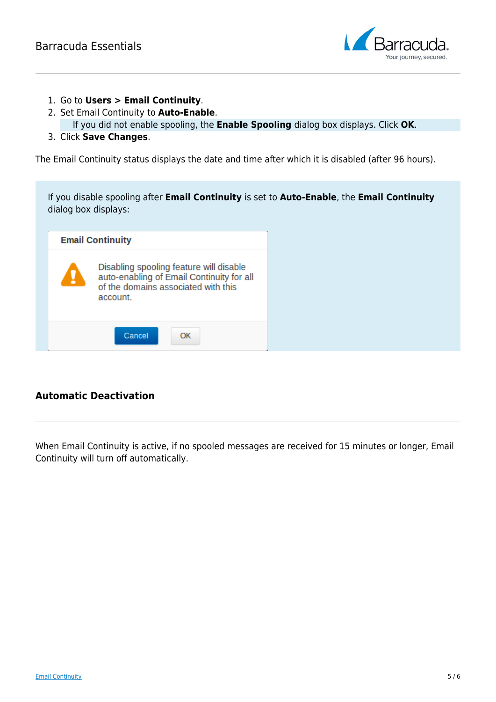

- 1. Go to **Users > Email Continuity**.
- 2. Set Email Continuity to **Auto-Enable**.

If you did not enable spooling, the **Enable Spooling** dialog box displays. Click **OK**.

3. Click **Save Changes**.

The Email Continuity status displays the date and time after which it is disabled (after 96 hours).

| If you disable spooling after <b>Email Continuity</b> is set to <b>Auto-Enable</b> , the <b>Email Continuity</b><br>dialog box displays: |                                                                                                                                         |  |  |  |  |  |  |  |
|------------------------------------------------------------------------------------------------------------------------------------------|-----------------------------------------------------------------------------------------------------------------------------------------|--|--|--|--|--|--|--|
|                                                                                                                                          | <b>Email Continuity</b>                                                                                                                 |  |  |  |  |  |  |  |
| Ţ                                                                                                                                        | Disabling spooling feature will disable<br>auto-enabling of Email Continuity for all<br>of the domains associated with this<br>account. |  |  |  |  |  |  |  |
|                                                                                                                                          | Cancel<br>OK                                                                                                                            |  |  |  |  |  |  |  |

### **Automatic Deactivation**

When Email Continuity is active, if no spooled messages are received for 15 minutes or longer, Email Continuity will turn off automatically.